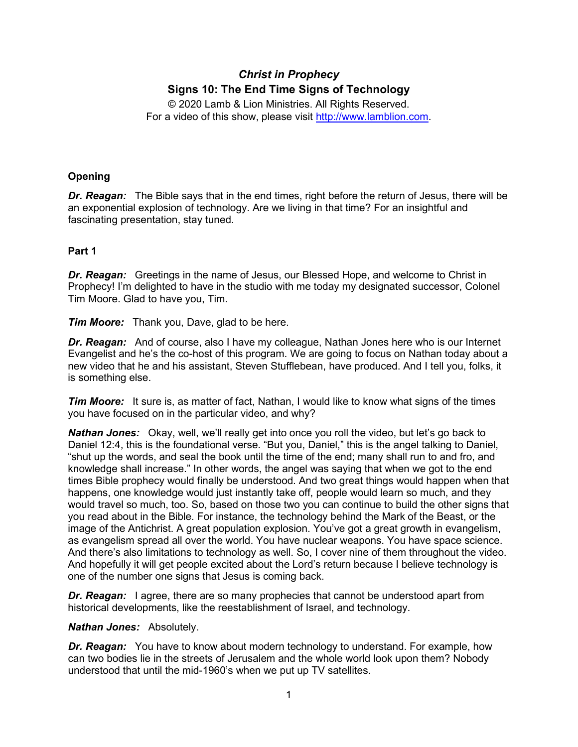# *Christ in Prophecy* **Signs 10: The End Time Signs of Technology**

© 2020 Lamb & Lion Ministries. All Rights Reserved. For a video of this show, please visit [http://www.lamblion.com.](http://www.lamblion.com/)

# **Opening**

*Dr. Reagan:* The Bible says that in the end times, right before the return of Jesus, there will be an exponential explosion of technology. Are we living in that time? For an insightful and fascinating presentation, stay tuned.

# **Part 1**

**Dr. Reagan:** Greetings in the name of Jesus, our Blessed Hope, and welcome to Christ in Prophecy! I'm delighted to have in the studio with me today my designated successor, Colonel Tim Moore. Glad to have you, Tim.

*Tim Moore:* Thank you, Dave, glad to be here.

*Dr. Reagan:* And of course, also I have my colleague, Nathan Jones here who is our Internet Evangelist and he's the co-host of this program. We are going to focus on Nathan today about a new video that he and his assistant, Steven Stufflebean, have produced. And I tell you, folks, it is something else.

*Tim Moore:* It sure is, as matter of fact, Nathan, I would like to know what signs of the times you have focused on in the particular video, and why?

*Nathan Jones:* Okay, well, we'll really get into once you roll the video, but let's go back to Daniel 12:4, this is the foundational verse. "But you, Daniel," this is the angel talking to Daniel, "shut up the words, and seal the book until the time of the end; many shall run to and fro, and knowledge shall increase." In other words, the angel was saying that when we got to the end times Bible prophecy would finally be understood. And two great things would happen when that happens, one knowledge would just instantly take off, people would learn so much, and they would travel so much, too. So, based on those two you can continue to build the other signs that you read about in the Bible. For instance, the technology behind the Mark of the Beast, or the image of the Antichrist. A great population explosion. You've got a great growth in evangelism, as evangelism spread all over the world. You have nuclear weapons. You have space science. And there's also limitations to technology as well. So, I cover nine of them throughout the video. And hopefully it will get people excited about the Lord's return because I believe technology is one of the number one signs that Jesus is coming back.

**Dr. Reagan:** I agree, there are so many prophecies that cannot be understood apart from historical developments, like the reestablishment of Israel, and technology.

#### *Nathan Jones:* Absolutely.

*Dr. Reagan:* You have to know about modern technology to understand. For example, how can two bodies lie in the streets of Jerusalem and the whole world look upon them? Nobody understood that until the mid-1960's when we put up TV satellites.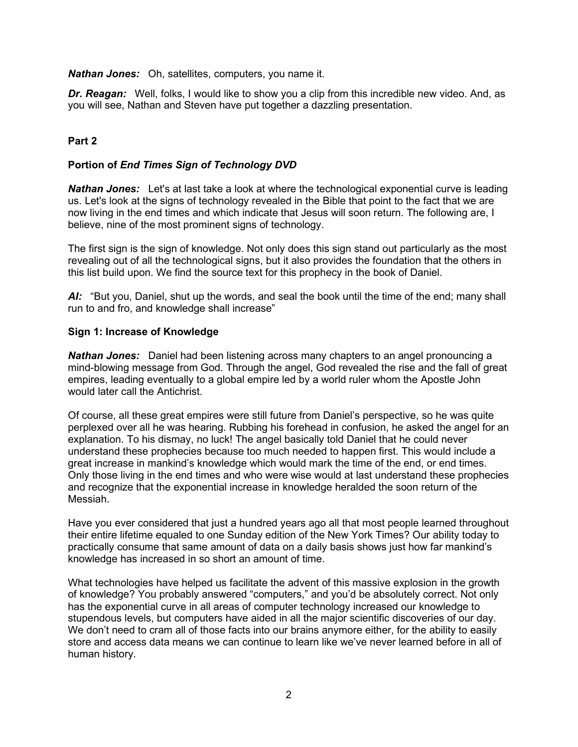*Nathan Jones:* Oh, satellites, computers, you name it.

*Dr. Reagan:* Well, folks, I would like to show you a clip from this incredible new video. And, as you will see, Nathan and Steven have put together a dazzling presentation.

# **Part 2**

# **Portion of** *End Times Sign of Technology DVD*

*Nathan Jones:* Let's at last take a look at where the technological exponential curve is leading us. Let's look at the signs of technology revealed in the Bible that point to the fact that we are now living in the end times and which indicate that Jesus will soon return. The following are, I believe, nine of the most prominent signs of technology.

The first sign is the sign of knowledge. Not only does this sign stand out particularly as the most revealing out of all the technological signs, but it also provides the foundation that the others in this list build upon. We find the source text for this prophecy in the book of Daniel.

AI: "But you, Daniel, shut up the words, and seal the book until the time of the end; many shall run to and fro, and knowledge shall increase"

#### **Sign 1: Increase of Knowledge**

*Nathan Jones:* Daniel had been listening across many chapters to an angel pronouncing a mind-blowing message from God. Through the angel, God revealed the rise and the fall of great empires, leading eventually to a global empire led by a world ruler whom the Apostle John would later call the Antichrist.

Of course, all these great empires were still future from Daniel's perspective, so he was quite perplexed over all he was hearing. Rubbing his forehead in confusion, he asked the angel for an explanation. To his dismay, no luck! The angel basically told Daniel that he could never understand these prophecies because too much needed to happen first. This would include a great increase in mankind's knowledge which would mark the time of the end, or end times. Only those living in the end times and who were wise would at last understand these prophecies and recognize that the exponential increase in knowledge heralded the soon return of the Messiah.

Have you ever considered that just a hundred years ago all that most people learned throughout their entire lifetime equaled to one Sunday edition of the New York Times? Our ability today to practically consume that same amount of data on a daily basis shows just how far mankind's knowledge has increased in so short an amount of time.

What technologies have helped us facilitate the advent of this massive explosion in the growth of knowledge? You probably answered "computers," and you'd be absolutely correct. Not only has the exponential curve in all areas of computer technology increased our knowledge to stupendous levels, but computers have aided in all the major scientific discoveries of our day. We don't need to cram all of those facts into our brains anymore either, for the ability to easily store and access data means we can continue to learn like we've never learned before in all of human history.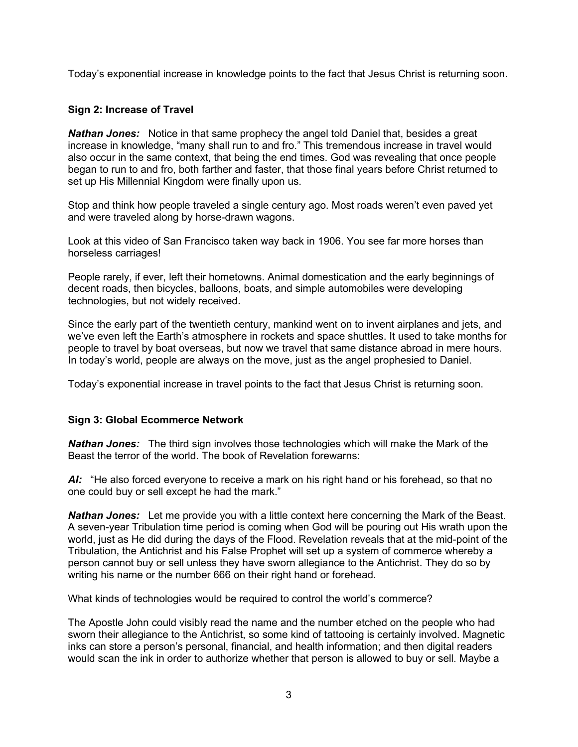Today's exponential increase in knowledge points to the fact that Jesus Christ is returning soon.

## **Sign 2: Increase of Travel**

*Nathan Jones:* Notice in that same prophecy the angel told Daniel that, besides a great increase in knowledge, "many shall run to and fro." This tremendous increase in travel would also occur in the same context, that being the end times. God was revealing that once people began to run to and fro, both farther and faster, that those final years before Christ returned to set up His Millennial Kingdom were finally upon us.

Stop and think how people traveled a single century ago. Most roads weren't even paved yet and were traveled along by horse-drawn wagons.

Look at this video of San Francisco taken way back in 1906. You see far more horses than horseless carriages!

People rarely, if ever, left their hometowns. Animal domestication and the early beginnings of decent roads, then bicycles, balloons, boats, and simple automobiles were developing technologies, but not widely received.

Since the early part of the twentieth century, mankind went on to invent airplanes and jets, and we've even left the Earth's atmosphere in rockets and space shuttles. It used to take months for people to travel by boat overseas, but now we travel that same distance abroad in mere hours. In today's world, people are always on the move, just as the angel prophesied to Daniel.

Today's exponential increase in travel points to the fact that Jesus Christ is returning soon.

#### **Sign 3: Global Ecommerce Network**

*Nathan Jones:* The third sign involves those technologies which will make the Mark of the Beast the terror of the world. The book of Revelation forewarns:

AI: "He also forced everyone to receive a mark on his right hand or his forehead, so that no one could buy or sell except he had the mark."

*Nathan Jones:* Let me provide you with a little context here concerning the Mark of the Beast. A seven-year Tribulation time period is coming when God will be pouring out His wrath upon the world, just as He did during the days of the Flood. Revelation reveals that at the mid-point of the Tribulation, the Antichrist and his False Prophet will set up a system of commerce whereby a person cannot buy or sell unless they have sworn allegiance to the Antichrist. They do so by writing his name or the number 666 on their right hand or forehead.

What kinds of technologies would be required to control the world's commerce?

The Apostle John could visibly read the name and the number etched on the people who had sworn their allegiance to the Antichrist, so some kind of tattooing is certainly involved. Magnetic inks can store a person's personal, financial, and health information; and then digital readers would scan the ink in order to authorize whether that person is allowed to buy or sell. Maybe a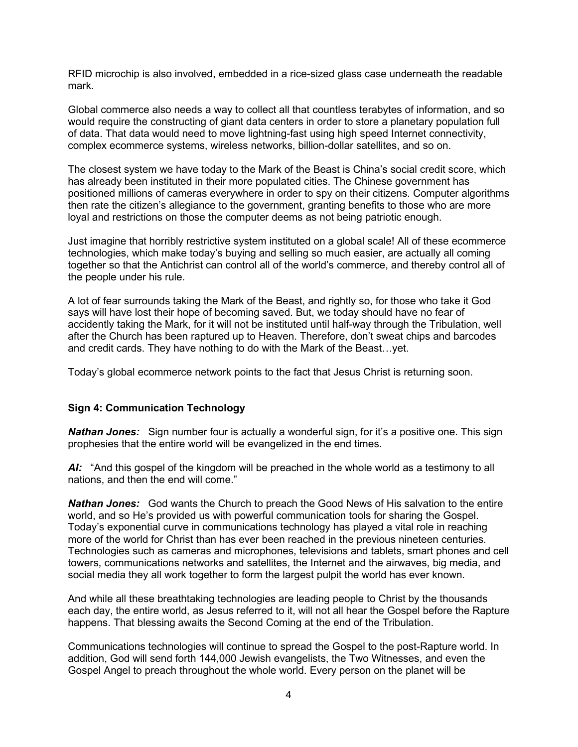RFID microchip is also involved, embedded in a rice-sized glass case underneath the readable mark.

Global commerce also needs a way to collect all that countless terabytes of information, and so would require the constructing of giant data centers in order to store a planetary population full of data. That data would need to move lightning-fast using high speed Internet connectivity, complex ecommerce systems, wireless networks, billion-dollar satellites, and so on.

The closest system we have today to the Mark of the Beast is China's social credit score, which has already been instituted in their more populated cities. The Chinese government has positioned millions of cameras everywhere in order to spy on their citizens. Computer algorithms then rate the citizen's allegiance to the government, granting benefits to those who are more loyal and restrictions on those the computer deems as not being patriotic enough.

Just imagine that horribly restrictive system instituted on a global scale! All of these ecommerce technologies, which make today's buying and selling so much easier, are actually all coming together so that the Antichrist can control all of the world's commerce, and thereby control all of the people under his rule.

A lot of fear surrounds taking the Mark of the Beast, and rightly so, for those who take it God says will have lost their hope of becoming saved. But, we today should have no fear of accidently taking the Mark, for it will not be instituted until half-way through the Tribulation, well after the Church has been raptured up to Heaven. Therefore, don't sweat chips and barcodes and credit cards. They have nothing to do with the Mark of the Beast…yet.

Today's global ecommerce network points to the fact that Jesus Christ is returning soon.

#### **Sign 4: Communication Technology**

**Nathan Jones:** Sign number four is actually a wonderful sign, for it's a positive one. This sign prophesies that the entire world will be evangelized in the end times.

AI: "And this gospel of the kingdom will be preached in the whole world as a testimony to all nations, and then the end will come."

*Nathan Jones:* God wants the Church to preach the Good News of His salvation to the entire world, and so He's provided us with powerful communication tools for sharing the Gospel. Today's exponential curve in communications technology has played a vital role in reaching more of the world for Christ than has ever been reached in the previous nineteen centuries. Technologies such as cameras and microphones, televisions and tablets, smart phones and cell towers, communications networks and satellites, the Internet and the airwaves, big media, and social media they all work together to form the largest pulpit the world has ever known.

And while all these breathtaking technologies are leading people to Christ by the thousands each day, the entire world, as Jesus referred to it, will not all hear the Gospel before the Rapture happens. That blessing awaits the Second Coming at the end of the Tribulation.

Communications technologies will continue to spread the Gospel to the post-Rapture world. In addition, God will send forth 144,000 Jewish evangelists, the Two Witnesses, and even the Gospel Angel to preach throughout the whole world. Every person on the planet will be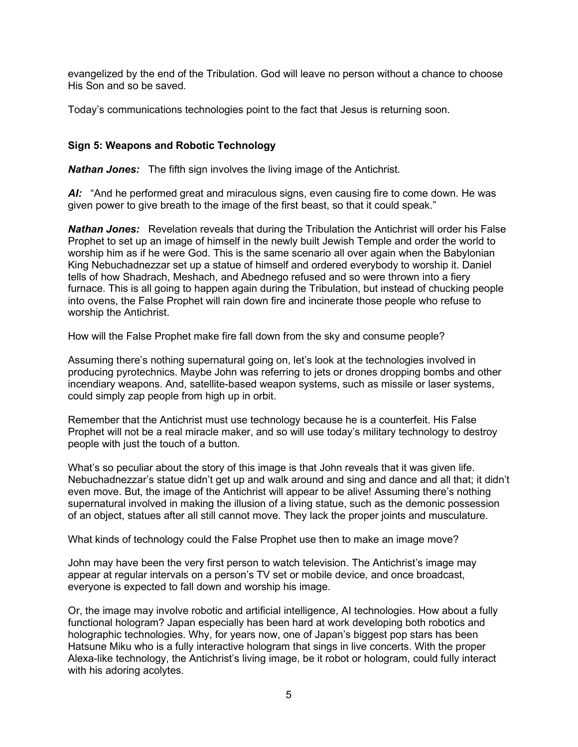evangelized by the end of the Tribulation. God will leave no person without a chance to choose His Son and so be saved.

Today's communications technologies point to the fact that Jesus is returning soon.

## **Sign 5: Weapons and Robotic Technology**

*Nathan Jones:* The fifth sign involves the living image of the Antichrist.

AI: "And he performed great and miraculous signs, even causing fire to come down. He was given power to give breath to the image of the first beast, so that it could speak."

*Nathan Jones:* Revelation reveals that during the Tribulation the Antichrist will order his False Prophet to set up an image of himself in the newly built Jewish Temple and order the world to worship him as if he were God. This is the same scenario all over again when the Babylonian King Nebuchadnezzar set up a statue of himself and ordered everybody to worship it. Daniel tells of how Shadrach, Meshach, and Abednego refused and so were thrown into a fiery furnace. This is all going to happen again during the Tribulation, but instead of chucking people into ovens, the False Prophet will rain down fire and incinerate those people who refuse to worship the Antichrist.

How will the False Prophet make fire fall down from the sky and consume people?

Assuming there's nothing supernatural going on, let's look at the technologies involved in producing pyrotechnics. Maybe John was referring to jets or drones dropping bombs and other incendiary weapons. And, satellite-based weapon systems, such as missile or laser systems, could simply zap people from high up in orbit.

Remember that the Antichrist must use technology because he is a counterfeit. His False Prophet will not be a real miracle maker, and so will use today's military technology to destroy people with just the touch of a button.

What's so peculiar about the story of this image is that John reveals that it was given life. Nebuchadnezzar's statue didn't get up and walk around and sing and dance and all that; it didn't even move. But, the image of the Antichrist will appear to be alive! Assuming there's nothing supernatural involved in making the illusion of a living statue, such as the demonic possession of an object, statues after all still cannot move. They lack the proper joints and musculature.

What kinds of technology could the False Prophet use then to make an image move?

John may have been the very first person to watch television. The Antichrist's image may appear at regular intervals on a person's TV set or mobile device, and once broadcast, everyone is expected to fall down and worship his image.

Or, the image may involve robotic and artificial intelligence, AI technologies. How about a fully functional hologram? Japan especially has been hard at work developing both robotics and holographic technologies. Why, for years now, one of Japan's biggest pop stars has been Hatsune Miku who is a fully interactive hologram that sings in live concerts. With the proper Alexa-like technology, the Antichrist's living image, be it robot or hologram, could fully interact with his adoring acolytes.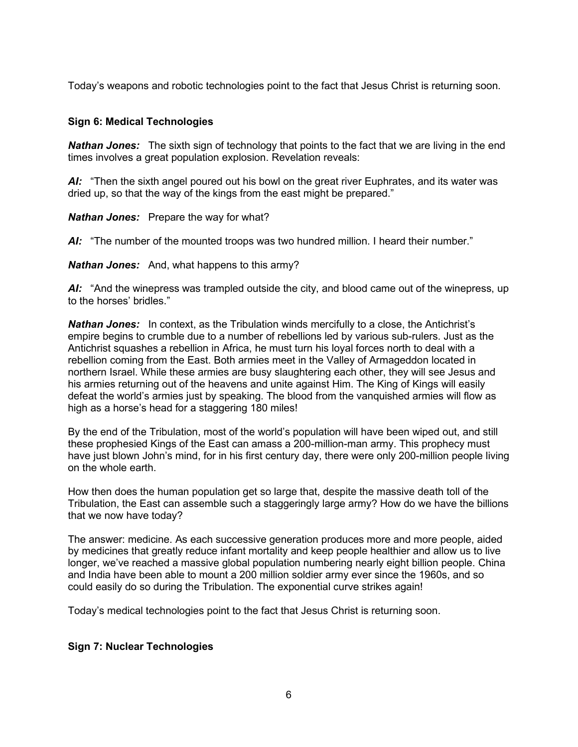Today's weapons and robotic technologies point to the fact that Jesus Christ is returning soon.

#### **Sign 6: Medical Technologies**

*Nathan Jones:* The sixth sign of technology that points to the fact that we are living in the end times involves a great population explosion. Revelation reveals:

AI: "Then the sixth angel poured out his bowl on the great river Euphrates, and its water was dried up, so that the way of the kings from the east might be prepared."

*Nathan Jones:* Prepare the way for what?

AI: "The number of the mounted troops was two hundred million. I heard their number."

*Nathan Jones:* And, what happens to this army?

AI: "And the winepress was trampled outside the city, and blood came out of the winepress, up to the horses' bridles."

**Nathan Jones:** In context, as the Tribulation winds mercifully to a close, the Antichrist's empire begins to crumble due to a number of rebellions led by various sub-rulers. Just as the Antichrist squashes a rebellion in Africa, he must turn his loyal forces north to deal with a rebellion coming from the East. Both armies meet in the Valley of Armageddon located in northern Israel. While these armies are busy slaughtering each other, they will see Jesus and his armies returning out of the heavens and unite against Him. The King of Kings will easily defeat the world's armies just by speaking. The blood from the vanquished armies will flow as high as a horse's head for a staggering 180 miles!

By the end of the Tribulation, most of the world's population will have been wiped out, and still these prophesied Kings of the East can amass a 200-million-man army. This prophecy must have just blown John's mind, for in his first century day, there were only 200-million people living on the whole earth.

How then does the human population get so large that, despite the massive death toll of the Tribulation, the East can assemble such a staggeringly large army? How do we have the billions that we now have today?

The answer: medicine. As each successive generation produces more and more people, aided by medicines that greatly reduce infant mortality and keep people healthier and allow us to live longer, we've reached a massive global population numbering nearly eight billion people. China and India have been able to mount a 200 million soldier army ever since the 1960s, and so could easily do so during the Tribulation. The exponential curve strikes again!

Today's medical technologies point to the fact that Jesus Christ is returning soon.

#### **Sign 7: Nuclear Technologies**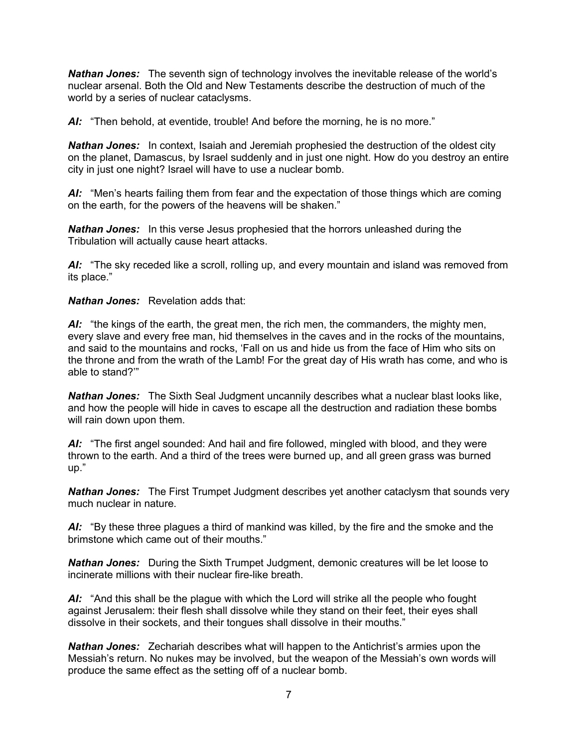*Nathan Jones:* The seventh sign of technology involves the inevitable release of the world's nuclear arsenal. Both the Old and New Testaments describe the destruction of much of the world by a series of nuclear cataclysms.

AI: "Then behold, at eventide, trouble! And before the morning, he is no more."

*Nathan Jones:* In context, Isaiah and Jeremiah prophesied the destruction of the oldest city on the planet, Damascus, by Israel suddenly and in just one night. How do you destroy an entire city in just one night? Israel will have to use a nuclear bomb.

AI: "Men's hearts failing them from fear and the expectation of those things which are coming on the earth, for the powers of the heavens will be shaken."

*Nathan Jones:* In this verse Jesus prophesied that the horrors unleashed during the Tribulation will actually cause heart attacks.

AI: "The sky receded like a scroll, rolling up, and every mountain and island was removed from its place."

*Nathan Jones:* Revelation adds that:

AI: "the kings of the earth, the great men, the rich men, the commanders, the mighty men, every slave and every free man, hid themselves in the caves and in the rocks of the mountains, and said to the mountains and rocks, 'Fall on us and hide us from the face of Him who sits on the throne and from the wrath of the Lamb! For the great day of His wrath has come, and who is able to stand?'"

*Nathan Jones:* The Sixth Seal Judgment uncannily describes what a nuclear blast looks like, and how the people will hide in caves to escape all the destruction and radiation these bombs will rain down upon them.

AI: "The first angel sounded: And hail and fire followed, mingled with blood, and they were thrown to the earth. And a third of the trees were burned up, and all green grass was burned up."

*Nathan Jones:* The First Trumpet Judgment describes yet another cataclysm that sounds very much nuclear in nature.

AI: "By these three plagues a third of mankind was killed, by the fire and the smoke and the brimstone which came out of their mouths."

*Nathan Jones:* During the Sixth Trumpet Judgment, demonic creatures will be let loose to incinerate millions with their nuclear fire-like breath.

AI: "And this shall be the plague with which the Lord will strike all the people who fought against Jerusalem: their flesh shall dissolve while they stand on their feet, their eyes shall dissolve in their sockets, and their tongues shall dissolve in their mouths."

*Nathan Jones:* Zechariah describes what will happen to the Antichrist's armies upon the Messiah's return. No nukes may be involved, but the weapon of the Messiah's own words will produce the same effect as the setting off of a nuclear bomb.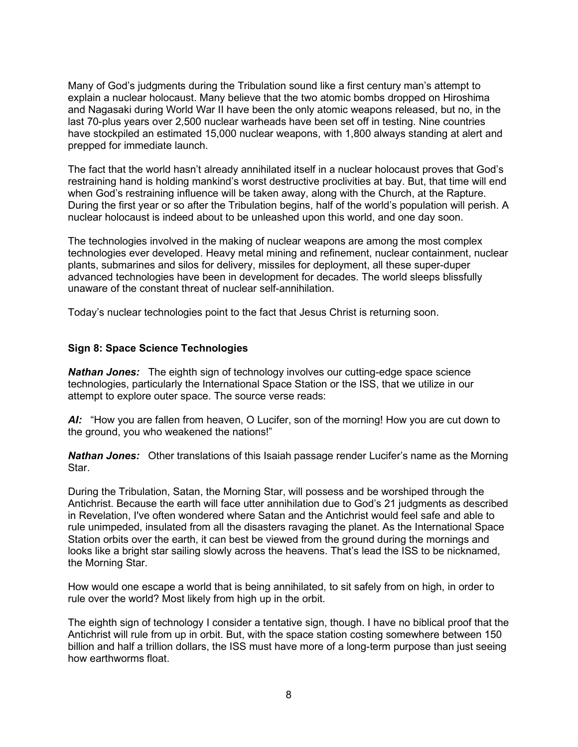Many of God's judgments during the Tribulation sound like a first century man's attempt to explain a nuclear holocaust. Many believe that the two atomic bombs dropped on Hiroshima and Nagasaki during World War II have been the only atomic weapons released, but no, in the last 70-plus years over 2,500 nuclear warheads have been set off in testing. Nine countries have stockpiled an estimated 15,000 nuclear weapons, with 1,800 always standing at alert and prepped for immediate launch.

The fact that the world hasn't already annihilated itself in a nuclear holocaust proves that God's restraining hand is holding mankind's worst destructive proclivities at bay. But, that time will end when God's restraining influence will be taken away, along with the Church, at the Rapture. During the first year or so after the Tribulation begins, half of the world's population will perish. A nuclear holocaust is indeed about to be unleashed upon this world, and one day soon.

The technologies involved in the making of nuclear weapons are among the most complex technologies ever developed. Heavy metal mining and refinement, nuclear containment, nuclear plants, submarines and silos for delivery, missiles for deployment, all these super-duper advanced technologies have been in development for decades. The world sleeps blissfully unaware of the constant threat of nuclear self-annihilation.

Today's nuclear technologies point to the fact that Jesus Christ is returning soon.

#### **Sign 8: Space Science Technologies**

*Nathan Jones:* The eighth sign of technology involves our cutting-edge space science technologies, particularly the International Space Station or the ISS, that we utilize in our attempt to explore outer space. The source verse reads:

AI: "How you are fallen from heaven, O Lucifer, son of the morning! How you are cut down to the ground, you who weakened the nations!"

*Nathan Jones:* Other translations of this Isaiah passage render Lucifer's name as the Morning Star.

During the Tribulation, Satan, the Morning Star, will possess and be worshiped through the Antichrist. Because the earth will face utter annihilation due to God's 21 judgments as described in Revelation, I've often wondered where Satan and the Antichrist would feel safe and able to rule unimpeded, insulated from all the disasters ravaging the planet. As the International Space Station orbits over the earth, it can best be viewed from the ground during the mornings and looks like a bright star sailing slowly across the heavens. That's lead the ISS to be nicknamed, the Morning Star.

How would one escape a world that is being annihilated, to sit safely from on high, in order to rule over the world? Most likely from high up in the orbit.

The eighth sign of technology I consider a tentative sign, though. I have no biblical proof that the Antichrist will rule from up in orbit. But, with the space station costing somewhere between 150 billion and half a trillion dollars, the ISS must have more of a long-term purpose than just seeing how earthworms float.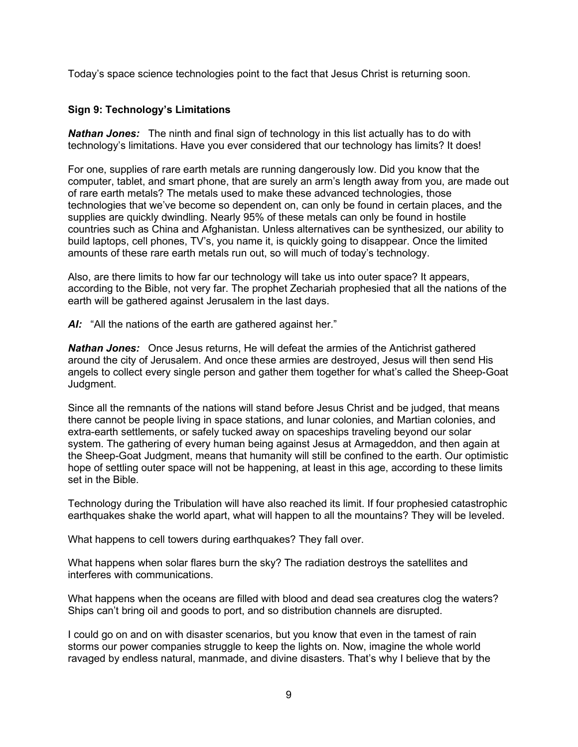Today's space science technologies point to the fact that Jesus Christ is returning soon.

# **Sign 9: Technology's Limitations**

*Nathan Jones:* The ninth and final sign of technology in this list actually has to do with technology's limitations. Have you ever considered that our technology has limits? It does!

For one, supplies of rare earth metals are running dangerously low. Did you know that the computer, tablet, and smart phone, that are surely an arm's length away from you, are made out of rare earth metals? The metals used to make these advanced technologies, those technologies that we've become so dependent on, can only be found in certain places, and the supplies are quickly dwindling. Nearly 95% of these metals can only be found in hostile countries such as China and Afghanistan. Unless alternatives can be synthesized, our ability to build laptops, cell phones, TV's, you name it, is quickly going to disappear. Once the limited amounts of these rare earth metals run out, so will much of today's technology.

Also, are there limits to how far our technology will take us into outer space? It appears, according to the Bible, not very far. The prophet Zechariah prophesied that all the nations of the earth will be gathered against Jerusalem in the last days.

AI: "All the nations of the earth are gathered against her."

*Nathan Jones:* Once Jesus returns, He will defeat the armies of the Antichrist gathered around the city of Jerusalem. And once these armies are destroyed, Jesus will then send His angels to collect every single person and gather them together for what's called the Sheep-Goat Judgment.

Since all the remnants of the nations will stand before Jesus Christ and be judged, that means there cannot be people living in space stations, and lunar colonies, and Martian colonies, and extra-earth settlements, or safely tucked away on spaceships traveling beyond our solar system. The gathering of every human being against Jesus at Armageddon, and then again at the Sheep-Goat Judgment, means that humanity will still be confined to the earth. Our optimistic hope of settling outer space will not be happening, at least in this age, according to these limits set in the Bible.

Technology during the Tribulation will have also reached its limit. If four prophesied catastrophic earthquakes shake the world apart, what will happen to all the mountains? They will be leveled.

What happens to cell towers during earthquakes? They fall over.

What happens when solar flares burn the sky? The radiation destroys the satellites and interferes with communications.

What happens when the oceans are filled with blood and dead sea creatures clog the waters? Ships can't bring oil and goods to port, and so distribution channels are disrupted.

I could go on and on with disaster scenarios, but you know that even in the tamest of rain storms our power companies struggle to keep the lights on. Now, imagine the whole world ravaged by endless natural, manmade, and divine disasters. That's why I believe that by the